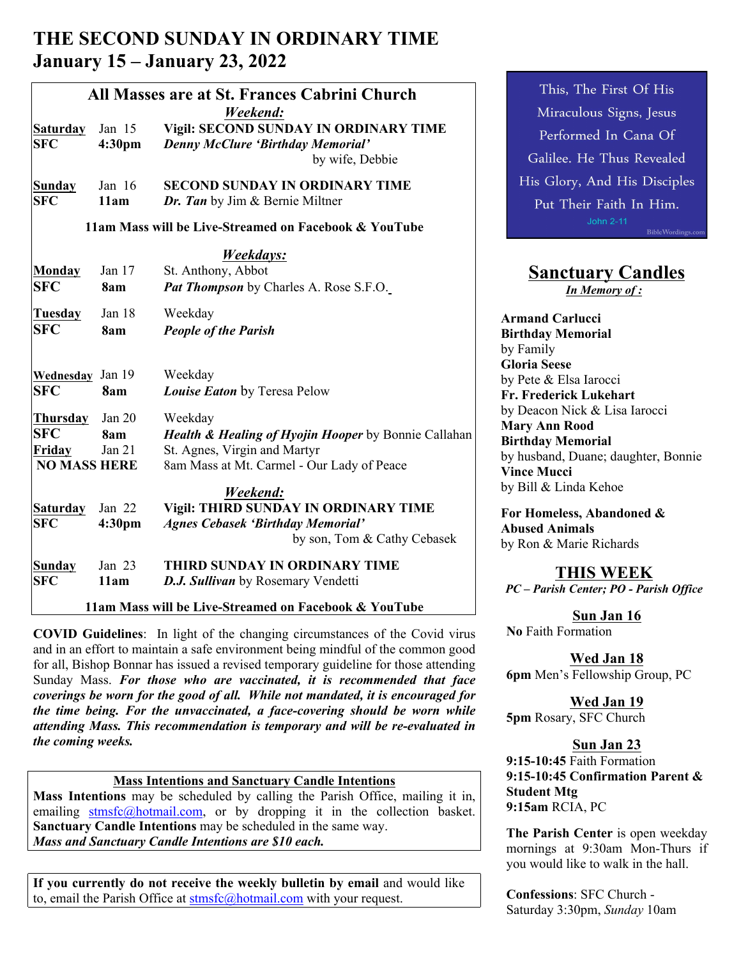# **THE SECOND SUNDAY IN ORDINARY TIME January 15 – January 23, 2022**

| All Masses are at St. Frances Cabrini Church<br>Weekend: |                    |                                                                            | This, The First Of His                                  |
|----------------------------------------------------------|--------------------|----------------------------------------------------------------------------|---------------------------------------------------------|
|                                                          |                    |                                                                            | Miraculous Signs, Jesus                                 |
| Saturday                                                 | Jan 15             | Vigil: SECOND SUNDAY IN ORDINARY TIME                                      | Performed In Cana Of                                    |
| <b>SFC</b>                                               | 4:30pm             | <b>Denny McClure 'Birthday Memorial'</b>                                   |                                                         |
|                                                          |                    | by wife, Debbie                                                            | Galilee. He Thus Revealed                               |
| <b>Sunday</b>                                            | Jan 16             | <b>SECOND SUNDAY IN ORDINARY TIME</b>                                      | His Glory, And His Disciples                            |
| <b>SFC</b>                                               | 11am               | Dr. Tan by Jim & Bernie Miltner                                            | Put Their Faith In Him.                                 |
|                                                          |                    | 11am Mass will be Live-Streamed on Facebook & YouTube                      | John 2-11<br>BibleWordings.com                          |
|                                                          |                    | Weekdays:                                                                  |                                                         |
| Monday                                                   | Jan 17             | St. Anthony, Abbot                                                         | <b>Sanctuary Candles</b>                                |
| <b>SFC</b>                                               | 8am                | Pat Thompson by Charles A. Rose S.F.O.                                     | In Memory of:                                           |
| Tuesday                                                  | Jan 18             | Weekday                                                                    | <b>Armand Carlucci</b>                                  |
| <b>SFC</b>                                               | 8am                | <b>People of the Parish</b>                                                | <b>Birthday Memorial</b>                                |
|                                                          |                    |                                                                            | by Family                                               |
| Wednesday                                                | Jan 19             | Weekday                                                                    | <b>Gloria Seese</b>                                     |
| <b>SFC</b>                                               | 8am                | <b>Louise Eaton</b> by Teresa Pelow                                        | by Pete & Elsa Iarocci                                  |
|                                                          |                    |                                                                            | Fr. Frederick Lukehart<br>by Deacon Nick & Lisa Iarocci |
| <b>Thursday</b>                                          | Jan 20             | Weekday                                                                    | <b>Mary Ann Rood</b>                                    |
| <b>SFC</b>                                               | 8am                | Health & Healing of Hyojin Hooper by Bonnie Callahan                       | <b>Birthday Memorial</b>                                |
| Friday<br><b>NO MASS HERE</b>                            | Jan $21$           | St. Agnes, Virgin and Martyr<br>8am Mass at Mt. Carmel - Our Lady of Peace | by husband, Duane; daughter, Bonnie                     |
|                                                          |                    |                                                                            | <b>Vince Mucci</b>                                      |
|                                                          |                    | Weekend:                                                                   | by Bill & Linda Kehoe                                   |
| Saturday                                                 | Jan 22             | Vigil: THIRD SUNDAY IN ORDINARY TIME                                       | For Homeless, Abandoned &                               |
| <b>SFC</b>                                               | 4:30 <sub>pm</sub> | <b>Agnes Cebasek 'Birthday Memorial'</b>                                   | <b>Abused Animals</b>                                   |
|                                                          |                    | by son, Tom & Cathy Cebasek                                                | by Ron & Marie Richards                                 |
| Sunday                                                   | Jan 23             | THIRD SUNDAY IN ORDINARY TIME                                              | <b>THIS WEEK</b>                                        |
| <b>SFC</b>                                               | 11am               | D.J. Sullivan by Rosemary Vendetti                                         | PC - Parish Center; PO - Parish Office                  |
|                                                          |                    | 11am Mass will be Live-Streamed on Facebook & YouTube                      | $\alpha$ $\alpha$                                       |

**COVID Guidelines**: In light of the changing circumstances of the Covid virus and in an effort to maintain a safe environment being mindful of the common good for all, Bishop Bonnar has issued a revised temporary guideline for those attending Sunday Mass. *For those who are vaccinated, it is recommended that face coverings be worn for the good of all. While not mandated, it is encouraged for the time being. For the unvaccinated, a face-covering should be worn while attending Mass. This recommendation is temporary and will be re-evaluated in the coming weeks.*

### **Mass Intentions and Sanctuary Candle Intentions**

**Mass Intentions** may be scheduled by calling the Parish Office, mailing it in, emailing stmsfc@hotmail.com, or by dropping it in the collection basket. **Sanctuary Candle Intentions** may be scheduled in the same way. *Mass and Sanctuary Candle Intentions are \$10 each.*

**If you currently do not receive the weekly bulletin by email** and would like to, email the Parish Office at stmsfc@hotmail.com with your request.

# **Sanctuary Candles**

**Sun Jan 16 No** Faith Formation

**Wed Jan 18 6pm** Men's Fellowship Group, PC

**Wed Jan 19 5pm** Rosary, SFC Church

# **Sun Jan 23**

**9:15-10:45** Faith Formation **9:15-10:45 Confirmation Parent & Student Mtg 9:15am** RCIA, PC

**The Parish Center** is open weekday mornings at 9:30am Mon-Thurs if you would like to walk in the hall.

**Confessions**: SFC Church - Saturday 3:30pm, *Sunday* 10am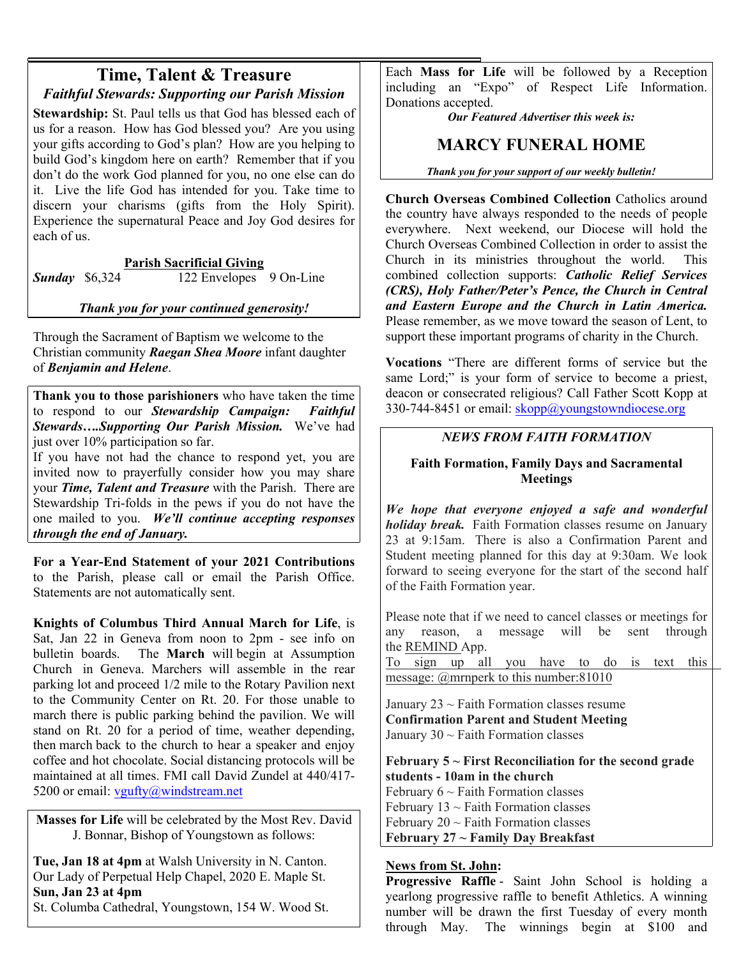# **Time, Talent & Treasure** *Faithful Stewards: Supporting our Parish Mission*

Stewardship: St. Paul tells us that God has blessed each of us for a reason. How has God blessed you? Are you using your gifts according to God's plan? How are you helping to build God's kingdom here on earth? Remember that if you don't do the work God planned for you, no one else can do it. Live the life God has intended for you. Take time to discern your charisms (gifts from the Holy Spirit). Experience the supernatural Peace and Joy God desires for each of us.

# **Parish Sacrificial Giving**

*Sunday* \$6,324 122 Envelopes 9 On-Line

# *Thank you for your continued generosity!*

Through the Sacrament of Baptism we welcome to the Christian community *Raegan Shea Moore* infant daughter of *Benjamin and Helene*.

**Thank you to those parishioners** who have taken the time to respond to our *Stewardship Campaign: Faithful Stewards….Supporting Our Parish Mission.* We've had just over 10% participation so far.

If you have not had the chance to respond yet, you are invited now to prayerfully consider how you may share your *Time, Talent and Treasure* with the Parish. There are Stewardship Tri-folds in the pews if you do not have the one mailed to you. *We'll continue accepting responses through the end of January.* 

**For a Year-End Statement of your 2021 Contributions**  to the Parish, please call or email the Parish Office. Statements are not automatically sent. **Knights of Columbus Third Annual March for Life**, is

Sat, Jan 22 in Geneva from noon to 2pm - see info on bulletin boards. The **March** will begin at Assumption The **March** will begin at Assumption Church in Geneva. Marchers will assemble in the rear parking lot and proceed 1/2 mile to the Rotary Pavilion next to the Community Center on Rt. 20. For those unable to march there is public parking behind the pavilion. We will stand on Rt. 20 for a period of time, weather depending, then march back to the church to hear a speaker and enjoy coffee and hot chocolate. Social distancing protocols will be maintained at all times. FMI call David Zundel at 440/417- 5200 or email:  $vgultiply@windstream.net$ 

**Masses for Life** will be celebrated by the Most Rev. David J. Bonnar, Bishop of Youngstown as follows:

**Tue, Jan 18 at 4pm** at Walsh University in N. Canton. Our Lady of Perpetual Help Chapel, 2020 E. Maple St. **Sun, Jan 23 at 4pm** St. Columba Cathedral, Youngstown, 154 W. Wood St. Each **Mass for Life** will be followed by a Reception including an "Expo" of Respect Life Information. Donations accepted.

*Our Featured Advertiser this week is:*

# **MARCY FUNERAL HOME**

*Thank you for your support of our weekly bulletin!*

**Church Overseas Combined Collection** Catholics around the country have always responded to the needs of people everywhere. Next weekend, our Diocese will hold the Church Overseas Combined Collection in order to assist the Church in its ministries throughout the world. This combined collection supports: *Catholic Relief Services (CRS), Holy Father/Peter's Pence, the Church in Central and Eastern Europe and the Church in Latin America.* Please remember, as we move toward the season of Lent, to support these important programs of charity in the Church.

**Vocations** "There are different forms of service but the same Lord;" is your form of service to become a priest, deacon or consecrated religious? Call Father Scott Kopp at 330-744-8451 or email:  $skopp@youngstowndiocese.org$ 

#### *NEWS FROM FAITH FORMATION*

### **Faith Formation, Family Days and Sacramental Meetings**

*We hope that everyone enjoyed a safe and wonderful holiday break.* Faith Formation classes resume on January 23 at 9:15am. There is also a Confirmation Parent and Student meeting planned for this day at 9:30am. We look forward to seeing everyone for the start of the second half of the Faith Formation year.

 Please note that if we need to cancel classes or meetings for any reason, a message will be sent through the REMIND App.

To sign up all you have to do is text this message: @mrnperk to this number:81010

January  $23 \sim$  Faith Formation classes resume **Confirmation Parent and Student Meeting** January  $30 \sim$  Faith Formation classes

**February 5 ~ First Reconciliation for the second grade students - 10am in the church** February  $6 \sim$  Faith Formation classes February  $13 \sim$  Faith Formation classes February  $20 \sim$  Faith Formation classes **February 27 ~ Family Day Breakfast**

### **News from St. John:**

**Progressive Raffle** - Saint John School is holding a yearlong progressive raffle to benefit Athletics. A winning number will be drawn the first Tuesday of every month through May. The winnings begin at \$100 and